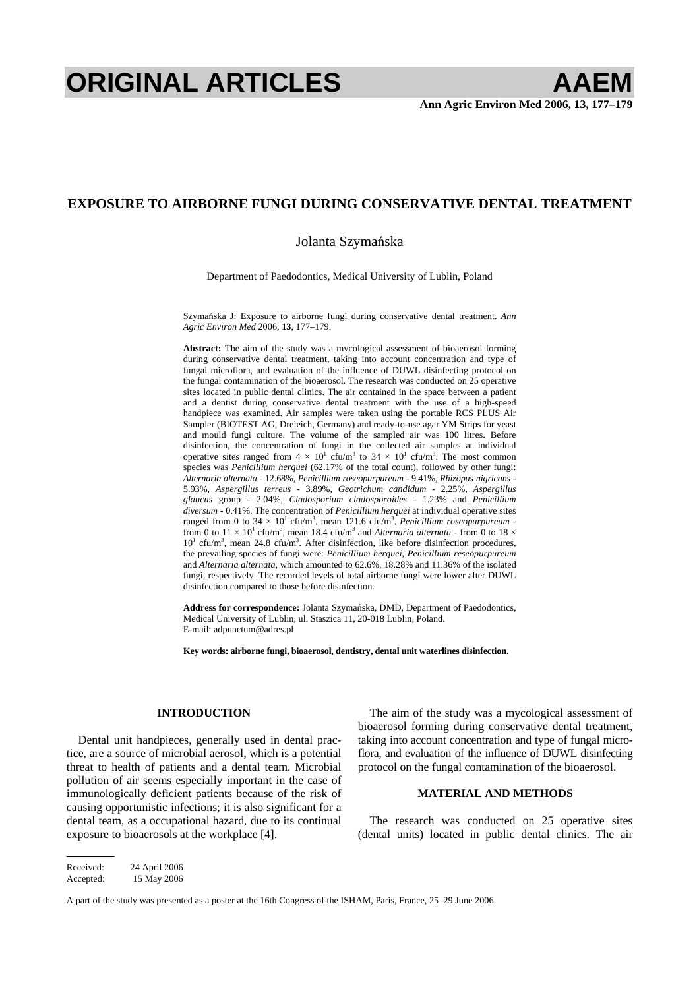# **ORIGINAL ARTICLES AAEM**

## **EXPOSURE TO AIRBORNE FUNGI DURING CONSERVATIVE DENTAL TREATMENT**

### Jolanta Szymańska

Department of Paedodontics, Medical University of Lublin, Poland

Szymańska J: Exposure to airborne fungi during conservative dental treatment. *Ann Agric Environ Med* 2006, **13**, 177–179.

**Abstract:** The aim of the study was a mycological assessment of bioaerosol forming during conservative dental treatment, taking into account concentration and type of fungal microflora, and evaluation of the influence of DUWL disinfecting protocol on the fungal contamination of the bioaerosol. The research was conducted on 25 operative sites located in public dental clinics. The air contained in the space between a patient and a dentist during conservative dental treatment with the use of a high-speed handpiece was examined. Air samples were taken using the portable RCS PLUS Air Sampler (BIOTEST AG, Dreieich, Germany) and ready-to-use agar YM Strips for yeast and mould fungi culture. The volume of the sampled air was 100 litres. Before disinfection, the concentration of fungi in the collected air samples at individual operative sites ranged from  $4 \times 10^{1}$  cfu/m<sup>3</sup> to  $34 \times 10^{1}$  cfu/m<sup>3</sup>. The most common species was *Penicillium herquei* (62.17% of the total count), followed by other fungi: *Alternaria alternata* - 12.68%, *Penicillium roseopurpureum* - 9.41%, *Rhizopus nigricans* - 5.93%, *Aspergillus terreus* - 3.89%, *Geotrichum candidum* - 2.25%, *Aspergillus glaucus* group - 2.04%, *Cladosporium cladosporoides* - 1.23% and *Penicillium diversum* - 0.41%. The concentration of *Penicillium herquei* at individual operative sites ranged from 0 to  $34 \times 10^{1}$  cfu/m<sup>3</sup>, mean 121.6 cfu/m<sup>3</sup>, *Penicillium roseopurpureum* from 0 to  $11 \times 10^{1}$  cfu/m<sup>3</sup>, mean 18.4 cfu/m<sup>3</sup> and *Alternaria alternata* - from 0 to 18  $\times$  $10<sup>1</sup>$  cfu/m<sup>3</sup>, mean 24.8 cfu/m<sup>3</sup>. After disinfection, like before disinfection procedures, the prevailing species of fungi were: *Penicillium herquei*, *Penicillium reseopurpureum* and *Alternaria alternata*, which amounted to 62.6%, 18.28% and 11.36% of the isolated fungi, respectively. The recorded levels of total airborne fungi were lower after DUWL disinfection compared to those before disinfection.

**Address for correspondence:** Jolanta Szymańska, DMD, Department of Paedodontics, Medical University of Lublin, ul. Staszica 11, 20-018 Lublin, Poland. E-mail: adpunctum@adres.pl

**Key words: airborne fungi, bioaerosol, dentistry, dental unit waterlines disinfection.** 

#### **INTRODUCTION**

Dental unit handpieces, generally used in dental practice, are a source of microbial aerosol, which is a potential threat to health of patients and a dental team. Microbial pollution of air seems especially important in the case of immunologically deficient patients because of the risk of causing opportunistic infections; it is also significant for a dental team, as a occupational hazard, due to its continual exposure to bioaerosols at the workplace [4].

The aim of the study was a mycological assessment of bioaerosol forming during conservative dental treatment, taking into account concentration and type of fungal microflora, and evaluation of the influence of DUWL disinfecting protocol on the fungal contamination of the bioaerosol.

#### **MATERIAL AND METHODS**

The research was conducted on 25 operative sites (dental units) located in public dental clinics. The air

Received: 24 April 2006 Accepted: 15 May 2006

A part of the study was presented as a poster at the 16th Congress of the ISHAM, Paris, France, 25–29 June 2006.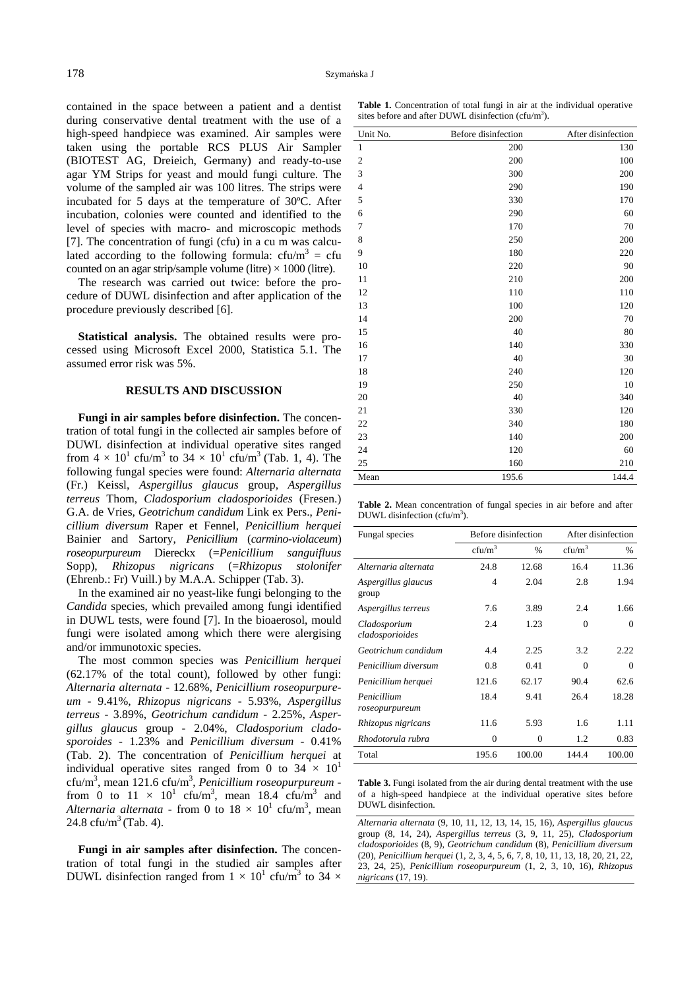contained in the space between a patient and a dentist during conservative dental treatment with the use of a high-speed handpiece was examined. Air samples were taken using the portable RCS PLUS Air Sampler (BIOTEST AG, Dreieich, Germany) and ready-to-use agar YM Strips for yeast and mould fungi culture. The volume of the sampled air was 100 litres. The strips were incubated for 5 days at the temperature of 30ºC. After incubation, colonies were counted and identified to the level of species with macro- and microscopic methods [7]. The concentration of fungi (cfu) in a cu m was calculated according to the following formula:  $cfu/m^3 = cfu$ counted on an agar strip/sample volume (litre)  $\times$  1000 (litre).

The research was carried out twice: before the procedure of DUWL disinfection and after application of the procedure previously described [6].

**Statistical analysis.** The obtained results were processed using Microsoft Excel 2000, Statistica 5.1. The assumed error risk was 5%.

#### **RESULTS AND DISCUSSION**

**Fungi in air samples before disinfection.** The concentration of total fungi in the collected air samples before of DUWL disinfection at individual operative sites ranged from  $4 \times 10^1$  cfu/m<sup>3</sup> to  $34 \times 10^1$  cfu/m<sup>3</sup> (Tab. 1, 4). The following fungal species were found: *Alternaria alternata* (Fr.) Keissl, *Aspergillus glaucus* group, *Aspergillus terreus* Thom, *Cladosporium cladosporioides* (Fresen.) G.A. de Vries, *Geotrichum candidum* Link ex Pers., *Penicillium diversum* Raper et Fennel, *Penicillium herquei* Bainier and Sartory, *Penicillium* (*carmino-violaceum*) *roseopurpureum* Diereckx (=*Penicillium sanguifluus* Sopp), *Rhizopus nigricans* (=*Rhizopus stolonifer* (Ehrenb.: Fr) Vuill.) by M.A.A. Schipper (Tab. 3).

In the examined air no yeast-like fungi belonging to the *Candida* species, which prevailed among fungi identified in DUWL tests, were found [7]. In the bioaerosol, mould fungi were isolated among which there were alergising and/or immunotoxic species.

The most common species was *Penicillium herquei*  (62.17% of the total count), followed by other fungi: *Alternaria alternata* - 12.68%, *Penicillium roseopurpureum* - 9.41%, *Rhizopus nigricans* - 5.93%, *Aspergillus terreus* - 3.89%, *Geotrichum candidum* - 2.25%, *Aspergillus glaucus* group - 2.04%, *Cladosporium cladosporoides* - 1.23% and *Penicillium diversum* - 0.41% (Tab. 2). The concentration of *Penicillium herquei* at individual operative sites ranged from 0 to  $34 \times 10^{1}$ cfu/m3 , mean 121.6 cfu/m3 , *Penicillium roseopurpureum* from 0 to  $11 \times 10^1$  cfu/m<sup>3</sup>, mean 18.4 cfu/m<sup>3</sup> and Alternaria alternata - from 0 to  $18 \times 10^1$  cfu/m<sup>3</sup>, mean 24.8  $cfu/m^3$  (Tab. 4).

**Fungi in air samples after disinfection.** The concentration of total fungi in the studied air samples after DUWL disinfection ranged from  $1 \times 10^1$  cfu/m<sup>3</sup> to 34  $\times$ 

**Table 1.** Concentration of total fungi in air at the individual operative sites before and after DUWL disinfection (cfu/m<sup>3</sup>).

| Unit No.       | Before disinfection | After disinfection |
|----------------|---------------------|--------------------|
| $\mathbf{1}$   | 200                 | 130                |
| $\overline{c}$ | 200                 | 100                |
| 3              | 300                 | 200                |
| $\overline{4}$ | 290                 | 190                |
| 5              | 330                 | 170                |
| 6              | 290                 | 60                 |
| 7              | 170                 | 70                 |
| 8              | 250                 | 200                |
| 9              | 180                 | 220                |
| 10             | 220                 | 90                 |
| 11             | 210                 | 200                |
| 12             | 110                 | 110                |
| 13             | 100                 | 120                |
| 14             | 200                 | 70                 |
| 15             | 40                  | 80                 |
| 16             | 140                 | 330                |
| 17             | 40                  | 30                 |
| 18             | 240                 | 120                |
| 19             | 250                 | 10                 |
| 20             | 40                  | 340                |
| 21             | 330                 | 120                |
| 22             | 340                 | 180                |
| 23             | 140                 | 200                |
| 24             | 120                 | 60                 |
| 25             | 160                 | 210                |
| Mean           | 195.6               | 144.4              |

**Table 2.** Mean concentration of fungal species in air before and after DUWL disinfection (cfu/m<sup>3</sup>).

| Fungal species                  |                  | Before disinfection | After disinfection |          |  |
|---------------------------------|------------------|---------------------|--------------------|----------|--|
|                                 | $\text{cfn/m}^3$ | $\%$                | $cfu/m^3$          | $\%$     |  |
| Alternaria alternata            | 24.8             | 12.68               | 16.4               | 11.36    |  |
| Aspergillus glaucus<br>group    | 4                | 2.04                | 2.8                | 1.94     |  |
| Aspergillus terreus             | 7.6              | 3.89                | 2.4                | 1.66     |  |
| Cladosporium<br>cladosporioides | 2.4              | 1.23                | $\Omega$           | $\Omega$ |  |
| Geotrichum candidum             | 4.4              | 2.25                | 3.2                | 2.22     |  |
| Penicillium diversum            | 0.8              | 0.41                | 0                  | $\Omega$ |  |
| Penicillium herquei             | 121.6            | 62.17               | 90.4               | 62.6     |  |
| Penicillium<br>roseopurpureum   | 18.4             | 9.41                | 26.4               | 18.28    |  |
| Rhizopus nigricans              | 11.6             | 5.93                | 1.6                | 1.11     |  |
| Rhodotorula rubra               | $\theta$         | $\Omega$            | 1.2                | 0.83     |  |
| Total                           | 195.6            | 100.00              | 144.4              | 100.00   |  |

**Table 3.** Fungi isolated from the air during dental treatment with the use of a high-speed handpiece at the individual operative sites before DUWL disinfection.

*Alternaria alternata* (9, 10, 11, 12, 13, 14, 15, 16), *Aspergillus glaucus*  group (8, 14, 24), *Aspergillus terreus* (3, 9, 11, 25), *Cladosporium cladosporioides* (8, 9), *Geotrichum candidum* (8), *Penicillium diversum* (20), *Penicillium herquei* (1, 2, 3, 4, 5, 6, 7, 8, 10, 11, 13, 18, 20, 21, 22, 23, 24, 25), *Penicillium roseopurpureum* (1, 2, 3, 10, 16), *Rhizopus nigricans* (17, 19).